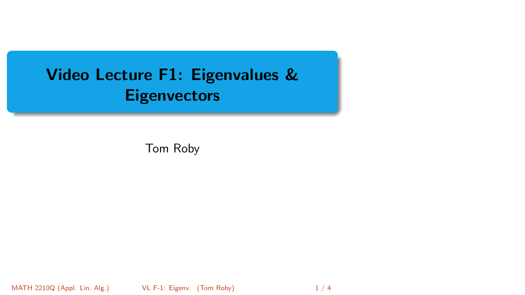# <span id="page-0-0"></span>Video Lecture F1: Eigenvalues & **Eigenvectors**

Tom Roby

MATH 2210Q (Appl. Lin. Alg.) **VL F-1: Eigenv.** (Tom Roby) 1 / 4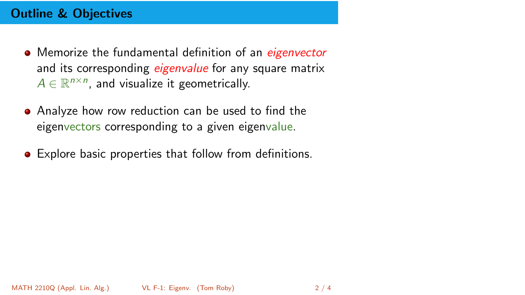## Outline & Objectives

- Memorize the fundamental definition of an *eigenvector* and its corresponding *eigenvalue* for any square matrix  $A \in \mathbb{R}^{n \times n}$ , and visualize it geometrically.
- Analyze how row reduction can be used to find the eigenvectors corresponding to a given eigenvalue.
- Explore basic properties that follow from definitions.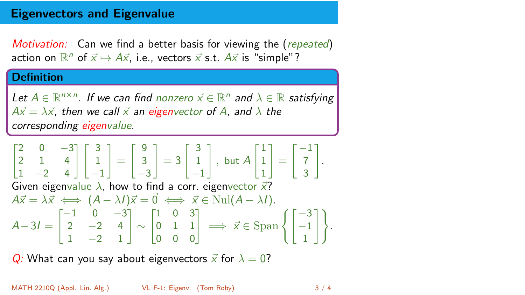### Eigenvectors and Eigenvalue

Motivation: Can we find a better basis for viewing the (repeated) action on  $\mathbb{R}^n$  of  $\vec{x} \mapsto A\vec{x}$ , i.e., vectors  $\vec{x}$  s.t.  $A\vec{x}$  is "simple"?

#### **Definition**

Let  $A \in \mathbb{R}^{n \times n}$ . If we can find nonzero  $\vec{x} \in \mathbb{R}^n$  and  $\lambda \in \mathbb{R}$  satisfying  $A\vec{x} = \lambda \vec{x}$ , then we call  $\vec{x}$  an eigenvector of A, and  $\lambda$  the corresponding eigenvalue.

$$
\begin{bmatrix} 2 & 0 & -3 \\ 2 & 1 & 4 \\ 1 & -2 & 4 \end{bmatrix} \begin{bmatrix} 3 \\ 1 \\ -1 \end{bmatrix} = \begin{bmatrix} 9 \\ 3 \\ -3 \end{bmatrix} = 3 \begin{bmatrix} 3 \\ 1 \\ -1 \end{bmatrix}, \text{ but } A \begin{bmatrix} 1 \\ 1 \\ 1 \end{bmatrix} = \begin{bmatrix} -1 \\ 7 \\ 3 \end{bmatrix}.
$$
  
\nGiven eigenvalue  $\lambda$ , how to find a corr. eigenvector  $\vec{x}$ ?  
\n $A\vec{x} = \lambda \vec{x} \iff (A - \lambda I)\vec{x} = \vec{0} \iff \vec{x} \in \text{Nul}(A - \lambda I).$   
\n $A - 3I = \begin{bmatrix} -1 & 0 & -3 \\ 2 & -2 & 4 \\ 1 & -2 & 1 \end{bmatrix} \sim \begin{bmatrix} 1 & 0 & 3 \\ 0 & 1 & 1 \\ 0 & 0 & 0 \end{bmatrix} \implies \vec{x} \in \text{Span} \left\{ \begin{bmatrix} -3 \\ -1 \\ 1 \end{bmatrix} \right\}.$ 

Q: What can you say about eigenvectors  $\vec{x}$  for  $\lambda = 0$ ?

MATH 2210Q (Appl. Lin. Alg.) [VL F-1: Eigenv.](#page-0-0) (Tom Roby) 3 / 4